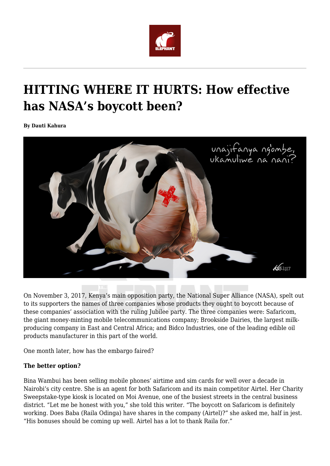

## **HITTING WHERE IT HURTS: How effective has NASA's boycott been?**

**By Dauti Kahura**



On November 3, 2017, Kenya's main opposition party, the National Super Alliance (NASA), spelt out to its supporters the names of three companies whose products they ought to boycott because of these companies' association with the ruling Jubilee party. The three companies were: Safaricom, the giant money-minting mobile telecommunications company; Brookside Dairies, the largest milkproducing company in East and Central Africa; and Bidco Industries, one of the leading edible oil products manufacturer in this part of the world.

One month later, how has the embargo faired?

## **The better option?**

Bina Wambui has been selling mobile phones' airtime and sim cards for well over a decade in Nairobi's city centre. She is an agent for both Safaricom and its main competitor Airtel. Her Charity Sweepstake-type kiosk is located on Moi Avenue, one of the busiest streets in the central business district. "Let me be honest with you," she told this writer. "The boycott on Safaricom is definitely working. Does Baba (Raila Odinga) have shares in the company (Airtel)?" she asked me, half in jest. "His bonuses should be coming up well. Airtel has a lot to thank Raila for."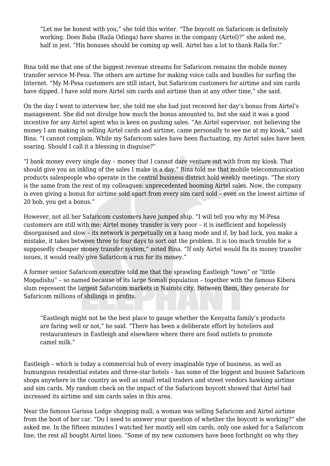"Let me be honest with you," she told this writer. "The boycott on Safaricom is definitely working. Does Baba (Raila Odinga) have shares in the company (Airtel)?" she asked me, half in jest. "His bonuses should be coming up well. Airtel has a lot to thank Raila for."

Bina told me that one of the biggest revenue streams for Safaricom remains the mobile money transfer service M-Pesa. The others are airtime for making voice calls and bundles for surfing the Internet. "My M-Pesa customers are still intact, but Safaricom customers for airtime and sim cards have dipped. I have sold more Airtel sim cards and airtime than at any other time," she said.

On the day I went to interview her, she told me she had just received her day's bonus from Airtel's management. She did not divulge how much the bonus amounted to, but she said it was a good incentive for any Airtel agent who is keen on pushing sales. "An Airtel supervisor, not believing the money I am making in selling Airtel cards and airtime, came personally to see me at my kiosk," said Bina. "I cannot complain. While my Safaricom sales have been fluctuating, my Airtel sales have been soaring. Should I call it a blessing in disguise?"

"I bank money every single day – money that I cannot dare venture out with from my kiosk. That should give you an inkling of the sales I make in a day." Bina told me that mobile telecommunication products salespeople who operate in the central business district hold weekly meetings. "The story is the same from the rest of my colleagues: unprecedented booming Airtel sales. Now, the company is even giving a bonus for airtime sold apart from every sim card sold – even on the lowest airtime of 20 bob, you get a bonus."

However, not all her Safaricom customers have jumped ship. "I will tell you why my M-Pesa customers are still with me: Airtel money transfer is very poor – it is inefficient and hopelessly disorganised and slow – its network is perpetually on a hang mode and if, by bad luck, you make a mistake, it takes between three to four days to sort out the problem. It is too much trouble for a supposedly cheaper money transfer system," noted Bina. "If only Airtel would fix its money transfer issues, it would really give Safaricom a run for its money."

A former senior Safaricom executive told me that the sprawling Eastleigh "town" or "little Mogadishu" – so named because of its large Somali population – together with the famous Kibera slum represent the largest Safaricom markets in Nairobi city. Between them, they generate for Safaricom millions of shillings in profits.

"Eastleigh might not be the best place to gauge whether the Kenyatta family's products are faring well or not," he said. "There has been a deliberate effort by hoteliers and restauranteurs in Eastleigh and elsewhere where there are food outlets to promote camel milk."

Eastleigh – which is today a commercial hub of every imaginable type of business, as well as humungous residential estates and three-star hotels – has some of the biggest and busiest Safaricom shops anywhere in the country as well as small retail traders and street vendors hawking airtime and sim cards. My random check on the impact of the Safaricom boycott showed that Airtel had increased its airtime and sim cards sales in this area.

Near the famous Garissa Lodge shopping mall, a woman was selling Safaricom and Airtel airtime from the boot of her car. "Do I need to answer your question of whether the boycott is working?" she asked me. In the fifteen minutes I watched her mostly sell sim cards, only one asked for a Safaricom line; the rest all bought Airtel lines. "Some of my new customers have been forthright on why they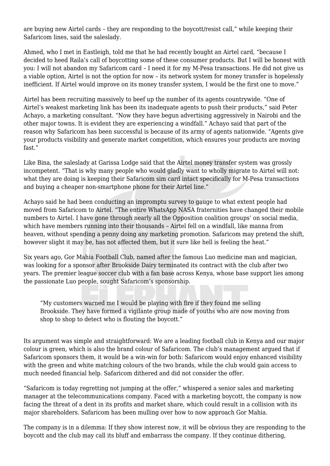are buying new Airtel cards – they are responding to the boycott/resist call," while keeping their Safaricom lines, said the saleslady.

Ahmed, who I met in Eastleigh, told me that he had recently bought an Airtel card, "because I decided to heed Raila's call of boycotting some of these consumer products. But I will be honest with you: I will not abandon my Safaricom card – I need it for my M-Pesa transactions. He did not give us a viable option, Airtel is not the option for now – its network system for money transfer is hopelessly inefficient. If Airtel would improve on its money transfer system, I would be the first one to move."

Airtel has been recruiting massively to beef up the number of its agents countrywide. "One of Airtel's weakest marketing link has been its inadequate agents to push their products," said Peter Achayo, a marketing consultant. "Now they have begun advertising aggressively in Nairobi and the other major towns. It is evident they are experiencing a windfall." Achayo said that part of the reason why Safaricom has been successful is because of its army of agents nationwide. "Agents give your products visibility and generate market competition, which ensures your products are moving fast."

Like Bina, the saleslady at Garissa Lodge said that the Airtel money transfer system was grossly incompetent. "That is why many people who would gladly want to wholly migrate to Airtel will not: what they are doing is keeping their Safaricom sim card intact specifically for M-Pesa transactions and buying a cheaper non-smartphone phone for their Airtel line."

Achayo said he had been conducting an impromptu survey to gauge to what extent people had moved from Safaricom to Airtel. "The entire WhatsApp NASA fraternities have changed their mobile numbers to Airtel. I have gone through nearly all the Opposition coalition groups' on social media, which have members running into their thousands – Airtel fell on a windfall, like manna from heaven, without spending a penny doing any marketing promotion. Safaricom may pretend the shift, however slight it may be, has not affected them, but it sure like hell is feeling the heat."

Six years ago, Gor Mahia Football Club, named after the famous Luo medicine man and magician, was looking for a sponsor after Brookside Dairy terminated its contract with the club after two years. The premier league soccer club with a fan base across Kenya, whose base support lies among the passionate Luo people, sought Safaricom's sponsorship.

"My customers warned me I would be playing with fire if they found me selling Brookside. They have formed a vigilante group made of youths who are now moving from shop to shop to detect who is flouting the boycott."

Its argument was simple and straightforward: We are a leading football club in Kenya and our major colour is green, which is also the brand colour of Safaricom. The club's management argued that if Safaricom sponsors them, it would be a win-win for both: Safaricom would enjoy enhanced visibility with the green and white matching colours of the two brands, while the club would gain access to much needed financial help. Safaricom dithered and did not consider the offer.

"Safaricom is today regretting not jumping at the offer," whispered a senior sales and marketing manager at the telecommunications company. Faced with a marketing boycott, the company is now facing the threat of a dent in its profits and market share, which could result in a collision with its major shareholders. Safaricom has been mulling over how to now approach Gor Mahia.

The company is in a dilemma: If they show interest now, it will be obvious they are responding to the boycott and the club may call its bluff and embarrass the company. If they continue dithering,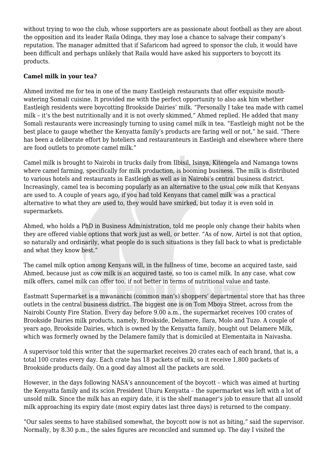without trying to woo the club, whose supporters are as passionate about football as they are about the opposition and its leader Raila Odinga, they may lose a chance to salvage their company's reputation. The manager admitted that if Safaricom had agreed to sponsor the club, it would have been difficult and perhaps unlikely that Raila would have asked his supporters to boycott its products.

## **Camel milk in your tea?**

Ahmed invited me for tea in one of the many Eastleigh restaurants that offer exquisite mouthwatering Somali cuisine. It provided me with the perfect opportunity to also ask him whether Eastleigh residents were boycotting Brookside Dairies' milk. "Personally I take tea made with camel milk – it's the best nutritionally and it is not overly skimmed," Ahmed replied. He added that many Somali restaurants were increasingly turning to using camel milk in tea. "Eastleigh might not be the best place to gauge whether the Kenyatta family's products are faring well or not," he said. "There has been a deliberate effort by hoteliers and restauranteurs in Eastleigh and elsewhere where there are food outlets to promote camel milk."

Camel milk is brought to Nairobi in trucks daily from Ilbisil, Isinya, Kitengela and Namanga towns where camel farming, specifically for milk production, is booming business. The milk is distributed to various hotels and restaurants in Eastleigh as well as in Nairobi's central business district. Increasingly, camel tea is becoming popularly as an alternative to the usual cow milk that Kenyans are used to. A couple of years ago, if you had told Kenyans that camel milk was a practical alternative to what they are used to, they would have smirked, but today it is even sold in supermarkets.

Ahmed, who holds a PhD in Business Administration, told me people only change their habits when they are offered viable options that work just as well, or better. "As of now, Airtel is not that option, so naturally and ordinarily, what people do is such situations is they fall back to what is predictable and what they know best."

The camel milk option among Kenyans will, in the fullness of time, become an acquired taste, said Ahmed, because just as cow milk is an acquired taste, so too is camel milk. In any case, what cow milk offers, camel milk can offer too, if not better in terms of nutritional value and taste.

Eastmatt Supermarket is a mwananchi (common man's) shoppers' departmental store that has three outlets in the central business district. The biggest one is on Tom Mboya Street, across from the Nairobi County Fire Station. Every day before 9.00 a.m., the supermarket receives 100 crates of Brookside Dairies milk products, namely, Brookside, Delamere, Ilara, Molo and Tuzo. A couple of years ago, Brookside Dairies, which is owned by the Kenyatta family, bought out Delamere Milk, which was formerly owned by the Delamere family that is domiciled at Elementaita in Naivasha.

A supervisor told this writer that the supermarket receives 20 crates each of each brand, that is, a total 100 crates every day. Each crate has 18 packets of milk, so it receive 1,800 packets of Brookside products daily. On a good day almost all the packets are sold.

However, in the days following NASA's announcement of the boycott – which was aimed at hurting the Kenyatta family and its scion President Uhuru Kenyatta – the supermarket was left with a lot of unsold milk. Since the milk has an expiry date, it is the shelf manager's job to ensure that all unsold milk approaching its expiry date (most expiry dates last three days) is returned to the company.

"Our sales seems to have stabilised somewhat, the boycott now is not as biting," said the supervisor. Normally, by 8.30 p.m., the sales figures are reconciled and summed up. The day I visited the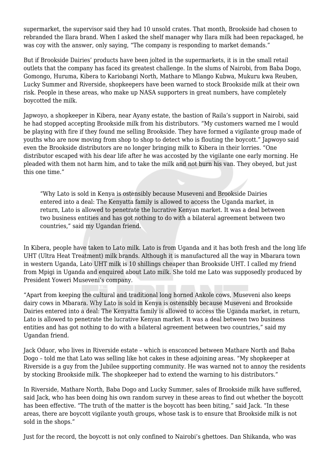supermarket, the supervisor said they had 10 unsold crates. That month, Brookside had chosen to rebranded the Ilara brand. When I asked the shelf manager why Ilara milk had been repackaged, he was coy with the answer, only saying, "The company is responding to market demands."

But if Brookside Dairies' products have been jolted in the supermarkets, it is in the small retail outlets that the company has faced its greatest challenge. In the slums of Nairobi, from Baba Dogo, Gomongo, Huruma, Kibera to Kariobangi North, Mathare to Mlango Kubwa, Mukuru kwa Reuben, Lucky Summer and Riverside, shopkeepers have been warned to stock Brookside milk at their own risk. People in these areas, who make up NASA supporters in great numbers, have completely boycotted the milk.

Japwoyo, a shopkeeper in Kibera, near Ayany estate, the bastion of Raila's support in Nairobi, said he had stopped accepting Brookside milk from his distributors. "My customers warned me I would be playing with fire if they found me selling Brookside. They have formed a vigilante group made of youths who are now moving from shop to shop to detect who is flouting the boycott." Japwoyo said even the Brookside distributors are no longer bringing milk to Kibera in their lorries. "One distributor escaped with his dear life after he was accosted by the vigilante one early morning. He pleaded with them not harm him, and to take the milk and not burn his van. They obeyed, but just this one time."

"Why Lato is sold in Kenya is ostensibly because Museveni and Brookside Dairies entered into a deal: The Kenyatta family is allowed to access the Uganda market, in return, Lato is allowed to penetrate the lucrative Kenyan market. It was a deal between two business entities and has got nothing to do with a bilateral agreement between two countries," said my Ugandan friend.

In Kibera, people have taken to Lato milk. Lato is from Uganda and it has both fresh and the long life UHT (Ultra Heat Treatment) milk brands. Although it is manufactured all the way in Mbarara town in western Uganda, Lato UHT milk is 10 shillings cheaper than Brookside UHT. I called my friend from Mpigi in Uganda and enquired about Lato milk. She told me Lato was supposedly produced by President Yoweri Museveni's company.

"Apart from keeping the cultural and traditional long horned Ankole cows, Museveni also keeps dairy cows in Mbarara. Why Lato is sold in Kenya is ostensibly because Museveni and Brookside Dairies entered into a deal: The Kenyatta family is allowed to access the Uganda market, in return, Lato is allowed to penetrate the lucrative Kenyan market. It was a deal between two business entities and has got nothing to do with a bilateral agreement between two countries," said my Ugandan friend.

Jack Oduor, who lives in Riverside estate – which is ensconced between Mathare North and Baba Dogo – told me that Lato was selling like hot cakes in these adjoining areas. "My shopkeeper at Riverside is a guy from the Jubilee supporting community. He was warned not to annoy the residents by stocking Brookside milk. The shopkeeper had to extend the warning to his distributors."

In Riverside, Mathare North, Baba Dogo and Lucky Summer, sales of Brookside milk have suffered, said Jack, who has been doing his own random survey in these areas to find out whether the boycott has been effective. "The truth of the matter is the boycott has been biting," said Jack. "In these areas, there are boycott vigilante youth groups, whose task is to ensure that Brookside milk is not sold in the shops."

Just for the record, the boycott is not only confined to Nairobi's ghettoes. Dan Shikanda, who was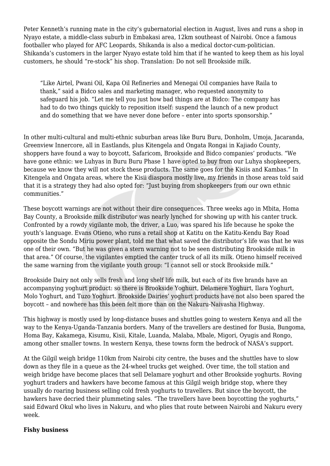Peter Kenneth's running mate in the city's gubernatorial election in August, lives and runs a shop in Nyayo estate, a middle-class suburb in Embakasi area, 12km southeast of Nairobi. Once a famous footballer who played for AFC Leopards, Shikanda is also a medical doctor-cum-politician. Shikanda's customers in the larger Nyayo estate told him that if he wanted to keep them as his loyal customers, he should "re-stock" his shop. Translation: Do not sell Brookside milk.

"Like Airtel, Pwani Oil, Kapa Oil Refineries and Menegai Oil companies have Raila to thank," said a Bidco sales and marketing manager, who requested anonymity to safeguard his job. "Let me tell you just how bad things are at Bidco: The company has had to do two things quickly to reposition itself: suspend the launch of a new product and do something that we have never done before – enter into sports sponsorship."

In other multi-cultural and multi-ethnic suburban areas like Buru Buru, Donholm, Umoja, Jacaranda, Greenview Innercore, all in Eastlands, plus Kitengela and Ongata Rongai in Kajiado County, shoppers have found a way to boycott, Safaricom, Brookside and Bidco companies' products. "We have gone ethnic: we Luhyas in Buru Buru Phase 1 have opted to buy from our Luhya shopkeepers, because we know they will not stock these products. The same goes for the Kisiis and Kambas." In Kitengela and Ongata areas, where the Kisii diaspora mostly live, my friends in those areas told said that it is a strategy they had also opted for: "Just buying from shopkeepers from our own ethnic communities."

These boycott warnings are not without their dire consequences. Three weeks ago in Mbita, Homa Bay County, a Brookside milk distributor was nearly lynched for showing up with his canter truck. Confronted by a rowdy vigilante mob, the driver, a Luo, was spared his life because he spoke the youth's language. Evans Otieno, who runs a retail shop at Katitu on the Katitu-Kendu Bay Road opposite the Sondu Miriu power plant, told me that what saved the distributor's life was that he was one of their own. "But he was given a stern warning not to be seen distributing Brookside milk in that area." Of course, the vigilantes emptied the canter truck of all its milk. Otieno himself received the same warning from the vigilante youth group: "I cannot sell or stock Brookside milk."

Brookside Dairy not only sells fresh and long shelf life milk, but each of its five brands have an accompanying yoghurt product: so there is Brookside Yoghurt, Delamere Yoghurt, Ilara Yoghurt, Molo Yoghurt, and Tuzo Yoghurt. Brookside Dairies' yoghurt products have not also been spared the boycott – and nowhere has this been felt more than on the Nakuru-Naivasha Highway.

This highway is mostly used by long-distance buses and shuttles going to western Kenya and all the way to the Kenya-Uganda-Tanzania borders. Many of the travellers are destined for Busia, Bungoma, Homa Bay, Kakamega, Kisumu, Kisii, Kitale, Luanda, Malaba, Mbale, Migori, Oyugis and Rongo, among other smaller towns. In western Kenya, these towns form the bedrock of NASA's support.

At the Gilgil weigh bridge 110km from Nairobi city centre, the buses and the shuttles have to slow down as they file in a queue as the 24-wheel trucks get weighed. Over time, the toll station and weigh bridge have become places that sell Delamare yoghurt and other Brookside yoghurts. Roving yoghurt traders and hawkers have become famous at this Gilgil weigh bridge stop, where they usually do roaring business selling cold fresh yoghurts to travellers. But since the boycott, the hawkers have decried their plummeting sales. "The travellers have been boycotting the yoghurts," said Edward Okul who lives in Nakuru, and who plies that route between Nairobi and Nakuru every week.

## **Fishy business**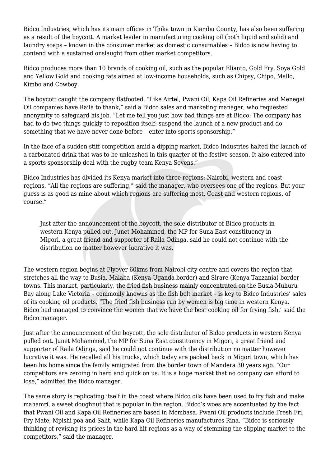Bidco Industries, which has its main offices in Thika town in Kiambu County, has also been suffering as a result of the boycott. A market leader in manufacturing cooking oil (both liquid and solid) and laundry soaps – known in the consumer market as domestic consumables – Bidco is now having to contend with a sustained onslaught from other market competitors.

Bidco produces more than 10 brands of cooking oil, such as the popular Elianto, Gold Fry, Soya Gold and Yellow Gold and cooking fats aimed at low-income households, such as Chipsy, Chipo, Mallo, Kimbo and Cowboy*.*

The boycott caught the company flatfooted. "Like Airtel, Pwani Oil, Kapa Oil Refineries and Menegai Oil companies have Raila to thank," said a Bidco sales and marketing manager, who requested anonymity to safeguard his job. "Let me tell you just how bad things are at Bidco: The company has had to do two things quickly to reposition itself: suspend the launch of a new product and do something that we have never done before – enter into sports sponsorship."

In the face of a sudden stiff competition amid a dipping market, Bidco Industries halted the launch of a carbonated drink that was to be unleashed in this quarter of the festive season. It also entered into a sports sponsorship deal with the rugby team Kenya Sevens."

Bidco Industries has divided its Kenya market into three regions: Nairobi, western and coast regions. "All the regions are suffering," said the manager, who oversees one of the regions. But your guess is as good as mine about which regions are suffering most, Coast and western regions, of course."

Just after the announcement of the boycott, the sole distributor of Bidco products in western Kenya pulled out. Junet Mohammed, the MP for Suna East constituency in Migori, a great friend and supporter of Raila Odinga, said he could not continue with the distribution no matter however lucrative it was.

The western region begins at Flyover 60kms from Nairobi city centre and covers the region that stretches all the way to Busia, Malaba (Kenya-Uganda border) and Sirare (Kenya-Tanzania) border towns. This market, particularly, the fried fish business mainly concentrated on the Busia-Muhuru Bay along Lake Victoria – commonly knowns as the fish belt market – is key to Bidco Industries' sales of its cooking oil products. "The fried fish business run by women is big time in western Kenya. Bidco had managed to convince the women that we have the best cooking oil for frying fish,' said the Bidco manager.

Just after the announcement of the boycott, the sole distributor of Bidco products in western Kenya pulled out. Junet Mohammed, the MP for Suna East constituency in Migori, a great friend and supporter of Raila Odinga, said he could not continue with the distribution no matter however lucrative it was. He recalled all his trucks, which today are packed back in Migori town, which has been his home since the family emigrated from the border town of Mandera 30 years ago. "Our competitors are zeroing in hard and quick on us. It is a huge market that no company can afford to lose," admitted the Bidco manager.

The same story is replicating itself in the coast where Bidco oils have been used to fry fish and make mahamri, a sweet doughnut that is popular in the region. Bidco's woes are accentuated by the fact that Pwani Oil and Kapa Oil Refineries are based in Mombasa. Pwani Oil products include Fresh Fri, Fry Mate, Mpishi poa and Salit, while Kapa Oil Refineries manufactures Rina*.* "Bidco is seriously thinking of revising its prices in the hard hit regions as a way of stemming the slipping market to the competitors," said the manager.